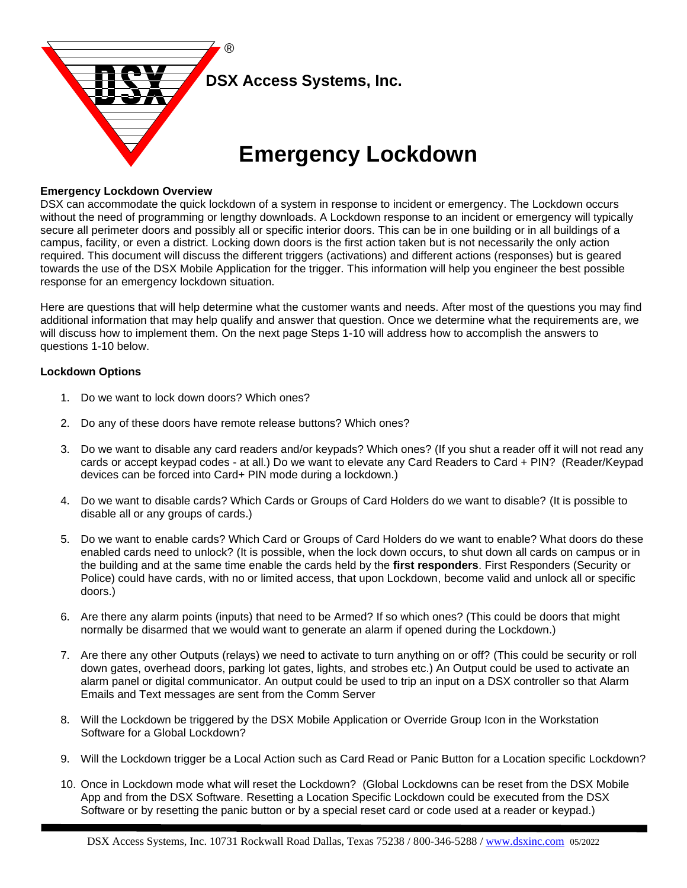

## **Emergency Lockdown Overview**

DSX can accommodate the quick lockdown of a system in response to incident or emergency. The Lockdown occurs without the need of programming or lengthy downloads. A Lockdown response to an incident or emergency will typically secure all perimeter doors and possibly all or specific interior doors. This can be in one building or in all buildings of a campus, facility, or even a district. Locking down doors is the first action taken but is not necessarily the only action required. This document will discuss the different triggers (activations) and different actions (responses) but is geared towards the use of the DSX Mobile Application for the trigger. This information will help you engineer the best possible response for an emergency lockdown situation.

Here are questions that will help determine what the customer wants and needs. After most of the questions you may find additional information that may help qualify and answer that question. Once we determine what the requirements are, we will discuss how to implement them. On the next page Steps 1-10 will address how to accomplish the answers to questions 1-10 below.

## **Lockdown Options**

- 1. Do we want to lock down doors? Which ones?
- 2. Do any of these doors have remote release buttons? Which ones?
- 3. Do we want to disable any card readers and/or keypads? Which ones? (If you shut a reader off it will not read any cards or accept keypad codes - at all.) Do we want to elevate any Card Readers to Card + PIN? (Reader/Keypad devices can be forced into Card+ PIN mode during a lockdown.)
- 4. Do we want to disable cards? Which Cards or Groups of Card Holders do we want to disable? (It is possible to disable all or any groups of cards.)
- 5. Do we want to enable cards? Which Card or Groups of Card Holders do we want to enable? What doors do these enabled cards need to unlock? (It is possible, when the lock down occurs, to shut down all cards on campus or in the building and at the same time enable the cards held by the **first responders**. First Responders (Security or Police) could have cards, with no or limited access, that upon Lockdown, become valid and unlock all or specific doors.)
- 6. Are there any alarm points (inputs) that need to be Armed? If so which ones? (This could be doors that might normally be disarmed that we would want to generate an alarm if opened during the Lockdown.)
- 7. Are there any other Outputs (relays) we need to activate to turn anything on or off? (This could be security or roll down gates, overhead doors, parking lot gates, lights, and strobes etc.) An Output could be used to activate an alarm panel or digital communicator. An output could be used to trip an input on a DSX controller so that Alarm Emails and Text messages are sent from the Comm Server
- 8. Will the Lockdown be triggered by the DSX Mobile Application or Override Group Icon in the Workstation Software for a Global Lockdown?
- 9. Will the Lockdown trigger be a Local Action such as Card Read or Panic Button for a Location specific Lockdown?
- 10. Once in Lockdown mode what will reset the Lockdown? (Global Lockdowns can be reset from the DSX Mobile App and from the DSX Software. Resetting a Location Specific Lockdown could be executed from the DSX Software or by resetting the panic button or by a special reset card or code used at a reader or keypad.)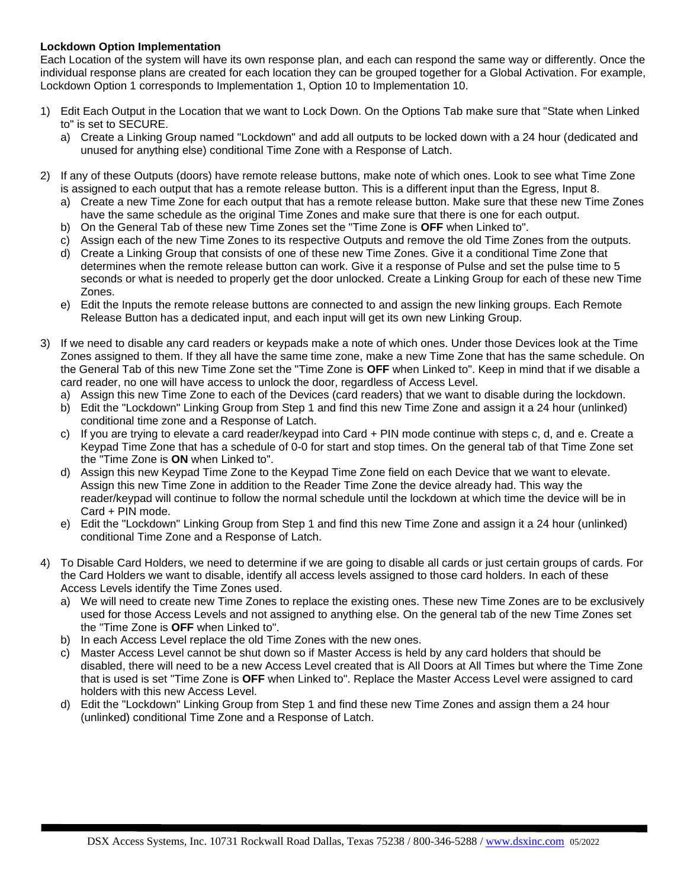## **Lockdown Option Implementation**

Each Location of the system will have its own response plan, and each can respond the same way or differently. Once the individual response plans are created for each location they can be grouped together for a Global Activation. For example, Lockdown Option 1 corresponds to Implementation 1, Option 10 to Implementation 10.

- 1) Edit Each Output in the Location that we want to Lock Down. On the Options Tab make sure that "State when Linked to" is set to SECURE.
	- a) Create a Linking Group named "Lockdown" and add all outputs to be locked down with a 24 hour (dedicated and unused for anything else) conditional Time Zone with a Response of Latch.
- 2) If any of these Outputs (doors) have remote release buttons, make note of which ones. Look to see what Time Zone is assigned to each output that has a remote release button. This is a different input than the Egress, Input 8.
	- a) Create a new Time Zone for each output that has a remote release button. Make sure that these new Time Zones have the same schedule as the original Time Zones and make sure that there is one for each output.
	- b) On the General Tab of these new Time Zones set the "Time Zone is **OFF** when Linked to".
	- c) Assign each of the new Time Zones to its respective Outputs and remove the old Time Zones from the outputs.
	- d) Create a Linking Group that consists of one of these new Time Zones. Give it a conditional Time Zone that determines when the remote release button can work. Give it a response of Pulse and set the pulse time to 5 seconds or what is needed to properly get the door unlocked. Create a Linking Group for each of these new Time Zones.
	- e) Edit the Inputs the remote release buttons are connected to and assign the new linking groups. Each Remote Release Button has a dedicated input, and each input will get its own new Linking Group.
- 3) If we need to disable any card readers or keypads make a note of which ones. Under those Devices look at the Time Zones assigned to them. If they all have the same time zone, make a new Time Zone that has the same schedule. On the General Tab of this new Time Zone set the "Time Zone is **OFF** when Linked to". Keep in mind that if we disable a card reader, no one will have access to unlock the door, regardless of Access Level.
	- a) Assign this new Time Zone to each of the Devices (card readers) that we want to disable during the lockdown.
	- b) Edit the "Lockdown" Linking Group from Step 1 and find this new Time Zone and assign it a 24 hour (unlinked) conditional time zone and a Response of Latch.
	- c) If you are trying to elevate a card reader/keypad into Card + PIN mode continue with steps c, d, and e. Create a Keypad Time Zone that has a schedule of 0-0 for start and stop times. On the general tab of that Time Zone set the "Time Zone is **ON** when Linked to".
	- d) Assign this new Keypad Time Zone to the Keypad Time Zone field on each Device that we want to elevate. Assign this new Time Zone in addition to the Reader Time Zone the device already had. This way the reader/keypad will continue to follow the normal schedule until the lockdown at which time the device will be in Card + PIN mode.
	- e) Edit the "Lockdown" Linking Group from Step 1 and find this new Time Zone and assign it a 24 hour (unlinked) conditional Time Zone and a Response of Latch.
- 4) To Disable Card Holders, we need to determine if we are going to disable all cards or just certain groups of cards. For the Card Holders we want to disable, identify all access levels assigned to those card holders. In each of these Access Levels identify the Time Zones used.
	- a) We will need to create new Time Zones to replace the existing ones. These new Time Zones are to be exclusively used for those Access Levels and not assigned to anything else. On the general tab of the new Time Zones set the "Time Zone is **OFF** when Linked to".
	- b) In each Access Level replace the old Time Zones with the new ones.
	- c) Master Access Level cannot be shut down so if Master Access is held by any card holders that should be disabled, there will need to be a new Access Level created that is All Doors at All Times but where the Time Zone that is used is set "Time Zone is **OFF** when Linked to". Replace the Master Access Level were assigned to card holders with this new Access Level.
	- d) Edit the "Lockdown" Linking Group from Step 1 and find these new Time Zones and assign them a 24 hour (unlinked) conditional Time Zone and a Response of Latch.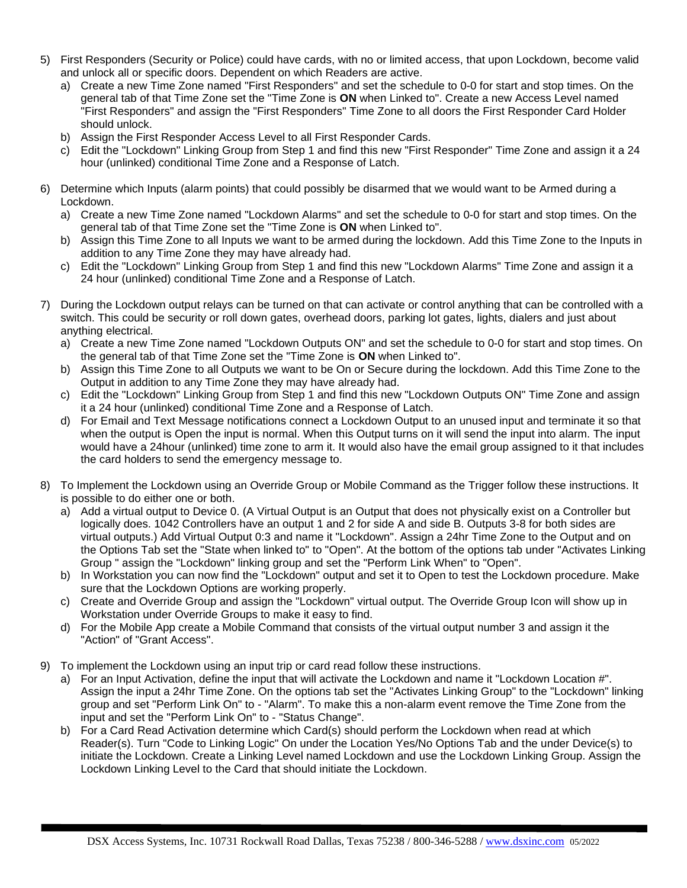- 5) First Responders (Security or Police) could have cards, with no or limited access, that upon Lockdown, become valid and unlock all or specific doors. Dependent on which Readers are active.
	- a) Create a new Time Zone named "First Responders" and set the schedule to 0-0 for start and stop times. On the general tab of that Time Zone set the "Time Zone is **ON** when Linked to". Create a new Access Level named "First Responders" and assign the "First Responders" Time Zone to all doors the First Responder Card Holder should unlock.
	- b) Assign the First Responder Access Level to all First Responder Cards.
	- c) Edit the "Lockdown" Linking Group from Step 1 and find this new "First Responder" Time Zone and assign it a 24 hour (unlinked) conditional Time Zone and a Response of Latch.
- 6) Determine which Inputs (alarm points) that could possibly be disarmed that we would want to be Armed during a Lockdown.
	- a) Create a new Time Zone named "Lockdown Alarms" and set the schedule to 0-0 for start and stop times. On the general tab of that Time Zone set the "Time Zone is **ON** when Linked to".
	- b) Assign this Time Zone to all Inputs we want to be armed during the lockdown. Add this Time Zone to the Inputs in addition to any Time Zone they may have already had.
	- c) Edit the "Lockdown" Linking Group from Step 1 and find this new "Lockdown Alarms" Time Zone and assign it a 24 hour (unlinked) conditional Time Zone and a Response of Latch.
- 7) During the Lockdown output relays can be turned on that can activate or control anything that can be controlled with a switch. This could be security or roll down gates, overhead doors, parking lot gates, lights, dialers and just about anything electrical.
	- a) Create a new Time Zone named "Lockdown Outputs ON" and set the schedule to 0-0 for start and stop times. On the general tab of that Time Zone set the "Time Zone is **ON** when Linked to".
	- b) Assign this Time Zone to all Outputs we want to be On or Secure during the lockdown. Add this Time Zone to the Output in addition to any Time Zone they may have already had.
	- c) Edit the "Lockdown" Linking Group from Step 1 and find this new "Lockdown Outputs ON" Time Zone and assign it a 24 hour (unlinked) conditional Time Zone and a Response of Latch.
	- d) For Email and Text Message notifications connect a Lockdown Output to an unused input and terminate it so that when the output is Open the input is normal. When this Output turns on it will send the input into alarm. The input would have a 24hour (unlinked) time zone to arm it. It would also have the email group assigned to it that includes the card holders to send the emergency message to.
- 8) To Implement the Lockdown using an Override Group or Mobile Command as the Trigger follow these instructions. It is possible to do either one or both.
	- a) Add a virtual output to Device 0. (A Virtual Output is an Output that does not physically exist on a Controller but logically does. 1042 Controllers have an output 1 and 2 for side A and side B. Outputs 3-8 for both sides are virtual outputs.) Add Virtual Output 0:3 and name it "Lockdown". Assign a 24hr Time Zone to the Output and on the Options Tab set the "State when linked to" to "Open". At the bottom of the options tab under "Activates Linking Group " assign the "Lockdown" linking group and set the "Perform Link When" to "Open".
	- b) In Workstation you can now find the "Lockdown" output and set it to Open to test the Lockdown procedure. Make sure that the Lockdown Options are working properly.
	- c) Create and Override Group and assign the "Lockdown" virtual output. The Override Group Icon will show up in Workstation under Override Groups to make it easy to find.
	- d) For the Mobile App create a Mobile Command that consists of the virtual output number 3 and assign it the "Action" of "Grant Access".
- 9) To implement the Lockdown using an input trip or card read follow these instructions.
	- a) For an Input Activation, define the input that will activate the Lockdown and name it "Lockdown Location #". Assign the input a 24hr Time Zone. On the options tab set the "Activates Linking Group" to the "Lockdown" linking group and set "Perform Link On" to - "Alarm". To make this a non-alarm event remove the Time Zone from the input and set the "Perform Link On" to - "Status Change".
	- b) For a Card Read Activation determine which Card(s) should perform the Lockdown when read at which Reader(s). Turn "Code to Linking Logic" On under the Location Yes/No Options Tab and the under Device(s) to initiate the Lockdown. Create a Linking Level named Lockdown and use the Lockdown Linking Group. Assign the Lockdown Linking Level to the Card that should initiate the Lockdown.